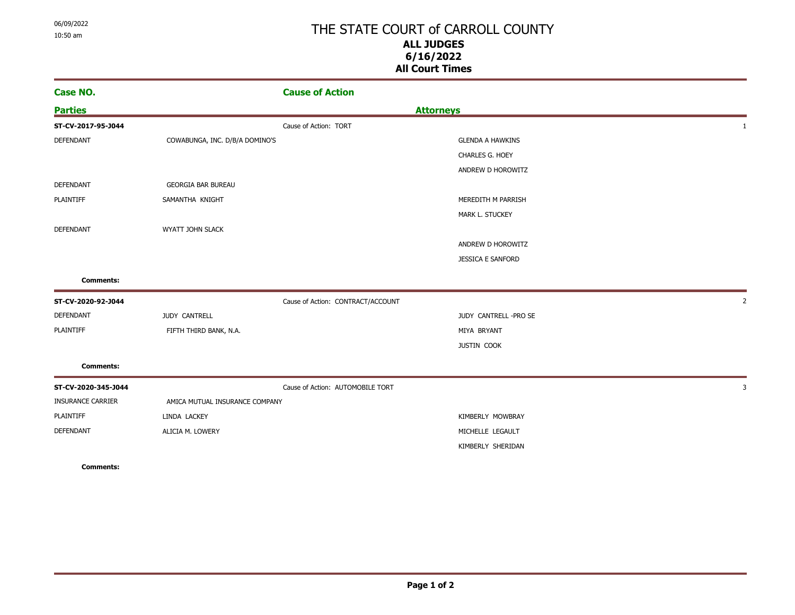## $10:50$  am  $10:50$  am  $10:50$  am  $10:50$  am  $10:50$  am  $10:50$  am  $10:50$  am  $10:50$  am  $10:50$  am  $10:50$  am  $10:50$  am  $10:50$  am  $10:50$  am  $10:50$  am  $10:50$  am  $10:50$  am  $10:50$  am  $10:50$  am  $10:50$  am  $10:50$  am **ALL JUDGES 6/16/2022 All Court Times**

| <b>Case NO.</b>          |                                | <b>Cause of Action</b>            |                          |                |
|--------------------------|--------------------------------|-----------------------------------|--------------------------|----------------|
| <b>Parties</b>           |                                |                                   | <b>Attorneys</b>         |                |
| ST-CV-2017-95-J044       |                                | Cause of Action: TORT             |                          | 1              |
| <b>DEFENDANT</b>         | COWABUNGA, INC. D/B/A DOMINO'S |                                   | <b>GLENDA A HAWKINS</b>  |                |
|                          |                                |                                   | CHARLES G. HOEY          |                |
|                          |                                |                                   | ANDREW D HOROWITZ        |                |
| <b>DEFENDANT</b>         | <b>GEORGIA BAR BUREAU</b>      |                                   |                          |                |
| PLAINTIFF                | SAMANTHA KNIGHT                |                                   | MEREDITH M PARRISH       |                |
|                          |                                |                                   | MARK L. STUCKEY          |                |
| DEFENDANT                | <b>WYATT JOHN SLACK</b>        |                                   |                          |                |
|                          |                                |                                   | ANDREW D HOROWITZ        |                |
|                          |                                |                                   | <b>JESSICA E SANFORD</b> |                |
| <b>Comments:</b>         |                                |                                   |                          |                |
| ST-CV-2020-92-J044       |                                | Cause of Action: CONTRACT/ACCOUNT |                          | $\overline{2}$ |
| DEFENDANT                | JUDY CANTRELL                  |                                   | JUDY CANTRELL - PRO SE   |                |
| PLAINTIFF                | FIFTH THIRD BANK, N.A.         |                                   | MIYA BRYANT              |                |
|                          |                                |                                   | <b>JUSTIN COOK</b>       |                |
| <b>Comments:</b>         |                                |                                   |                          |                |
| ST-CV-2020-345-J044      |                                | Cause of Action: AUTOMOBILE TORT  |                          | $\overline{3}$ |
| <b>INSURANCE CARRIER</b> | AMICA MUTUAL INSURANCE COMPANY |                                   |                          |                |
| PLAINTIFF                | LINDA LACKEY                   |                                   | KIMBERLY MOWBRAY         |                |
| DEFENDANT                | ALICIA M. LOWERY               |                                   | MICHELLE LEGAULT         |                |
|                          |                                |                                   | KIMBERLY SHERIDAN        |                |

**Comments:**